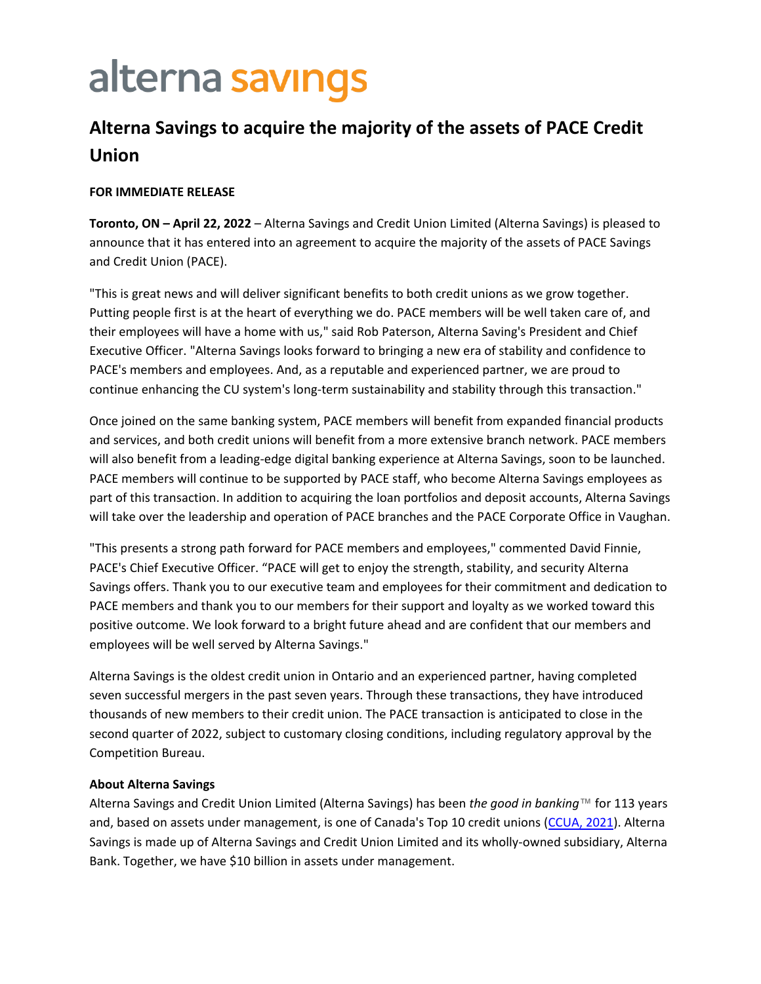# alterna savings

## **Alterna Savings to acquire the majority of the assets of PACE Credit Union**

#### **FOR IMMEDIATE RELEASE**

**Toronto, ON – April 22, 2022** – Alterna Savings and Credit Union Limited (Alterna Savings) is pleased to announce that it has entered into an agreement to acquire the majority of the assets of PACE Savings and Credit Union (PACE).

"This is great news and will deliver significant benefits to both credit unions as we grow together. Putting people first is at the heart of everything we do. PACE members will be well taken care of, and their employees will have a home with us," said Rob Paterson, Alterna Saving's President and Chief Executive Officer. "Alterna Savings looks forward to bringing a new era of stability and confidence to PACE's members and employees. And, as a reputable and experienced partner, we are proud to continue enhancing the CU system's long-term sustainability and stability through this transaction."

Once joined on the same banking system, PACE members will benefit from expanded financial products and services, and both credit unions will benefit from a more extensive branch network. PACE members will also benefit from a leading-edge digital banking experience at Alterna Savings, soon to be launched. PACE members will continue to be supported by PACE staff, who become Alterna Savings employees as part of this transaction. In addition to acquiring the loan portfolios and deposit accounts, Alterna Savings will take over the leadership and operation of PACE branches and the PACE Corporate Office in Vaughan.

"This presents a strong path forward for PACE members and employees," commented David Finnie, PACE's Chief Executive Officer. "PACE will get to enjoy the strength, stability, and security Alterna Savings offers. Thank you to our executive team and employees for their commitment and dedication to PACE members and thank you to our members for their support and loyalty as we worked toward this positive outcome. We look forward to a bright future ahead and are confident that our members and employees will be well served by Alterna Savings."

Alterna Savings is the oldest credit union in Ontario and an experienced partner, having completed seven successful mergers in the past seven years. Through these transactions, they have introduced thousands of new members to their credit union. The PACE transaction is anticipated to close in the second quarter of 2022, subject to customary closing conditions, including regulatory approval by the Competition Bureau.

#### **About Alterna Savings**

Alterna Savings and Credit Union Limited (Alterna Savings) has been *the good in banking*™ for 113 years and, based on assets under management, is one of Canada's Top 10 credit unions [\(CCUA, 2021\)](https://ccua.com/app/uploads/private-files/top100-2Q21_15-Sep-21-1.pdf). Alterna Savings is made up of Alterna Savings and Credit Union Limited and its wholly-owned subsidiary, Alterna Bank. Together, we have \$10 billion in assets under management.